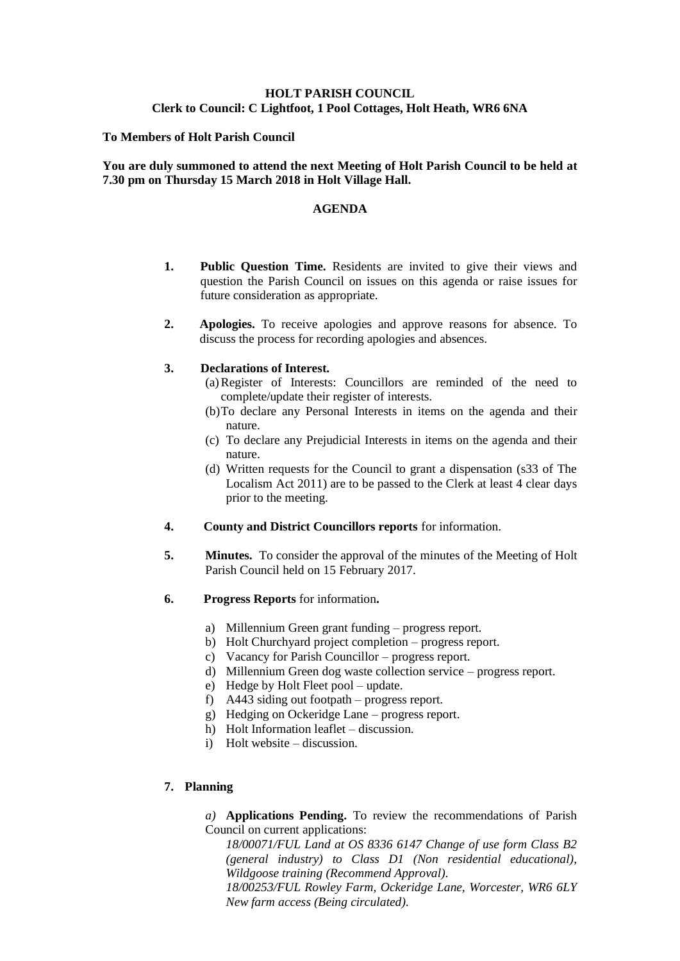# **HOLT PARISH COUNCIL Clerk to Council: C Lightfoot, 1 Pool Cottages, Holt Heath, WR6 6NA**

### **To Members of Holt Parish Council**

### **You are duly summoned to attend the next Meeting of Holt Parish Council to be held at 7.30 pm on Thursday 15 March 2018 in Holt Village Hall.**

#### **AGENDA**

- **1. Public Question Time.** Residents are invited to give their views and question the Parish Council on issues on this agenda or raise issues for future consideration as appropriate.
- **2. Apologies.** To receive apologies and approve reasons for absence. To discuss the process for recording apologies and absences.

#### **3. Declarations of Interest.**

- (a)Register of Interests: Councillors are reminded of the need to complete/update their register of interests.
- (b)To declare any Personal Interests in items on the agenda and their nature.
- (c) To declare any Prejudicial Interests in items on the agenda and their nature.
- (d) Written requests for the Council to grant a dispensation (s33 of The Localism Act 2011) are to be passed to the Clerk at least 4 clear days prior to the meeting.
- **4. County and District Councillors reports** for information.
- **5. Minutes.** To consider the approval of the minutes of the Meeting of Holt Parish Council held on 15 February 2017.
- **6. Progress Reports** for information**.**
	- a) Millennium Green grant funding progress report.
	- b) Holt Churchyard project completion progress report.
	- c) Vacancy for Parish Councillor progress report.
	- d) Millennium Green dog waste collection service progress report.
	- e) Hedge by Holt Fleet pool update.
	- f) A443 siding out footpath progress report.
	- g) Hedging on Ockeridge Lane progress report.
	- h) Holt Information leaflet discussion.
	- i) Holt website discussion.

### **7. Planning**

*a)* **Applications Pending.** To review the recommendations of Parish Council on current applications:

*18/00071/FUL Land at OS 8336 6147 Change of use form Class B2 (general industry) to Class D1 (Non residential educational), Wildgoose training (Recommend Approval).*

*18/00253/FUL Rowley Farm, Ockeridge Lane, Worcester, WR6 6LY New farm access (Being circulated).*